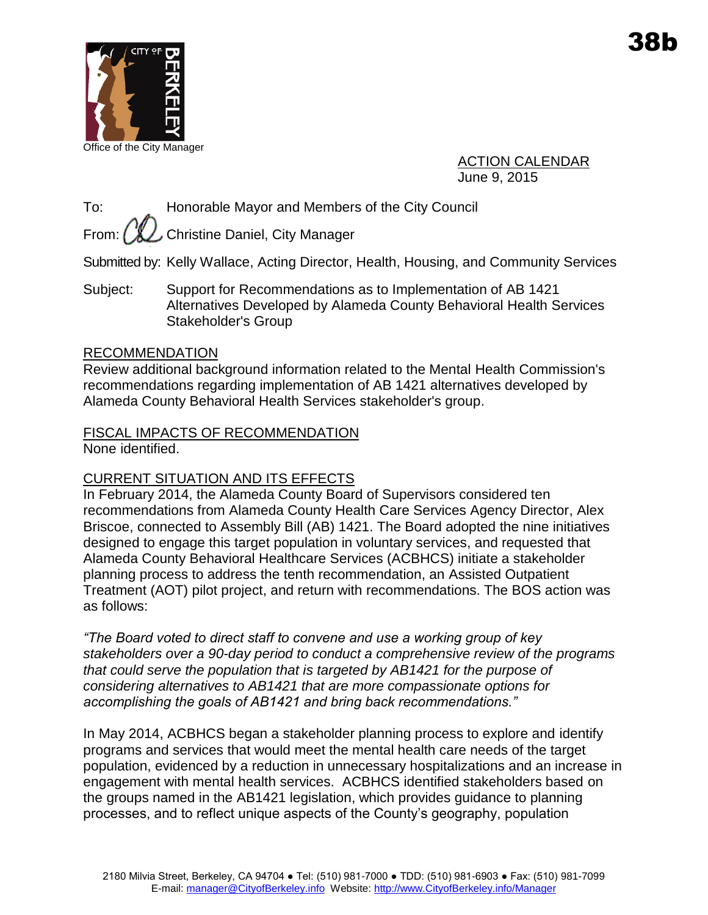

Office of the City Manager

ACTION CALENDAR June 9, 2015

To: Honorable Mayor and Members of the City Council

From:  $\left(\mathcal{K}\right)$  Christine Daniel, City Manager

Submitted by: Kelly Wallace, Acting Director, Health, Housing, and Community Services

Subject: Support for Recommendations as to Implementation of AB 1421 Alternatives Developed by Alameda County Behavioral Health Services Stakeholder's Group

#### RECOMMENDATION

Review additional background information related to the Mental Health Commission's recommendations regarding implementation of AB 1421 alternatives developed by Alameda County Behavioral Health Services stakeholder's group.

# FISCAL IMPACTS OF RECOMMENDATION

None identified.

## CURRENT SITUATION AND ITS EFFECTS

In February 2014, the Alameda County Board of Supervisors considered ten recommendations from Alameda County Health Care Services Agency Director, Alex Briscoe, connected to Assembly Bill (AB) 1421. The Board adopted the nine initiatives designed to engage this target population in voluntary services, and requested that Alameda County Behavioral Healthcare Services (ACBHCS) initiate a stakeholder planning process to address the tenth recommendation, an Assisted Outpatient Treatment (AOT) pilot project, and return with recommendations. The BOS action was as follows:

*"The Board voted to direct staff to convene and use a working group of key stakeholders over a 90-day period to conduct a comprehensive review of the programs that could serve the population that is targeted by AB1421 for the purpose of considering alternatives to AB1421 that are more compassionate options for accomplishing the goals of AB1421 and bring back recommendations."* 

In May 2014, ACBHCS began a stakeholder planning process to explore and identify programs and services that would meet the mental health care needs of the target population, evidenced by a reduction in unnecessary hospitalizations and an increase in engagement with mental health services. ACBHCS identified stakeholders based on the groups named in the AB1421 legislation, which provides guidance to planning processes, and to reflect unique aspects of the County's geography, population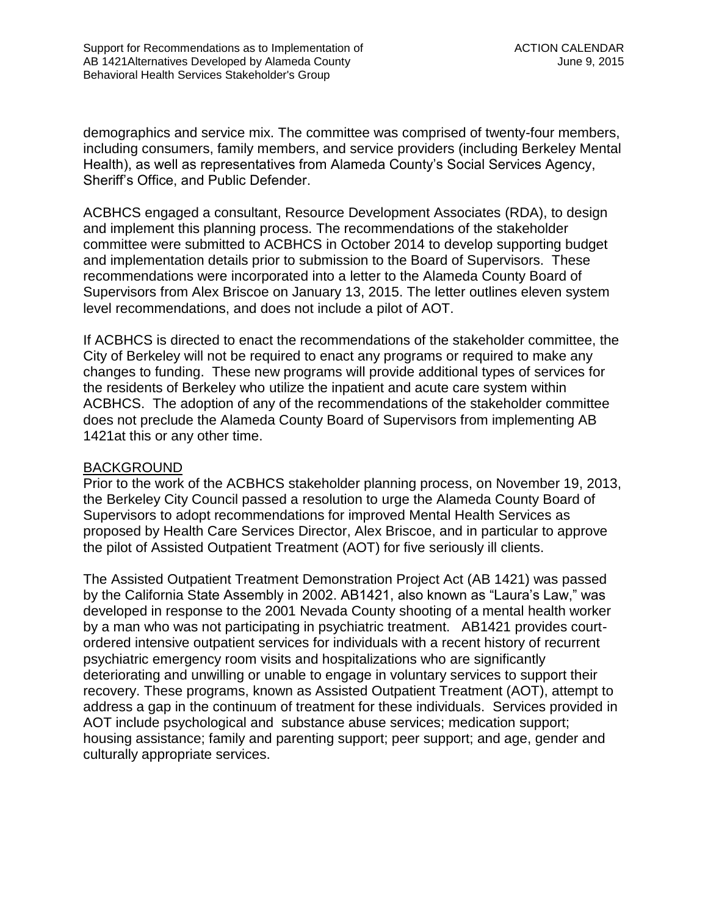demographics and service mix. The committee was comprised of twenty-four members, including consumers, family members, and service providers (including Berkeley Mental Health), as well as representatives from Alameda County's Social Services Agency, Sheriff's Office, and Public Defender.

ACBHCS engaged a consultant, Resource Development Associates (RDA), to design and implement this planning process. The recommendations of the stakeholder committee were submitted to ACBHCS in October 2014 to develop supporting budget and implementation details prior to submission to the Board of Supervisors. These recommendations were incorporated into a letter to the Alameda County Board of Supervisors from Alex Briscoe on January 13, 2015. The letter outlines eleven system level recommendations, and does not include a pilot of AOT.

If ACBHCS is directed to enact the recommendations of the stakeholder committee, the City of Berkeley will not be required to enact any programs or required to make any changes to funding. These new programs will provide additional types of services for the residents of Berkeley who utilize the inpatient and acute care system within ACBHCS. The adoption of any of the recommendations of the stakeholder committee does not preclude the Alameda County Board of Supervisors from implementing AB 1421at this or any other time.

#### BACKGROUND

Prior to the work of the ACBHCS stakeholder planning process, on November 19, 2013, the Berkeley City Council passed a resolution to urge the Alameda County Board of Supervisors to adopt recommendations for improved Mental Health Services as proposed by Health Care Services Director, Alex Briscoe, and in particular to approve the pilot of Assisted Outpatient Treatment (AOT) for five seriously ill clients.

The Assisted Outpatient Treatment Demonstration Project Act (AB 1421) was passed by the California State Assembly in 2002. AB1421, also known as "Laura's Law," was developed in response to the 2001 Nevada County shooting of a mental health worker by a man who was not participating in psychiatric treatment. AB1421 provides courtordered intensive outpatient services for individuals with a recent history of recurrent psychiatric emergency room visits and hospitalizations who are significantly deteriorating and unwilling or unable to engage in voluntary services to support their recovery. These programs, known as Assisted Outpatient Treatment (AOT), attempt to address a gap in the continuum of treatment for these individuals. Services provided in AOT include psychological and substance abuse services; medication support; housing assistance; family and parenting support; peer support; and age, gender and culturally appropriate services.